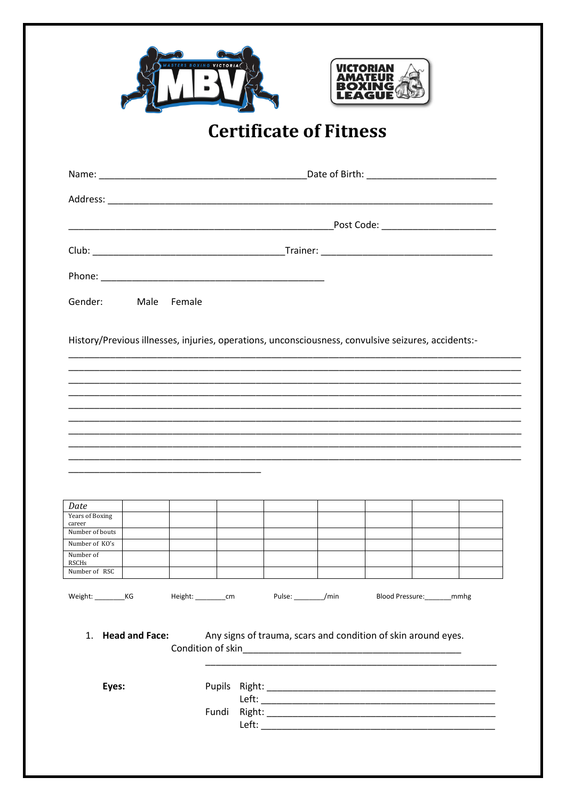



## **Certificate of Fitness**

| Gender: Male Female                                                                                 |  |  |  |  |  |  |  |  |
|-----------------------------------------------------------------------------------------------------|--|--|--|--|--|--|--|--|
| History/Previous illnesses, injuries, operations, unconsciousness, convulsive seizures, accidents:- |  |  |  |  |  |  |  |  |
|                                                                                                     |  |  |  |  |  |  |  |  |
| Date<br><b>Years of Boxing</b><br>career                                                            |  |  |  |  |  |  |  |  |
| Number of bouts                                                                                     |  |  |  |  |  |  |  |  |
| Number of KO's<br>Number of<br>RSCHs                                                                |  |  |  |  |  |  |  |  |
| Number of RSC                                                                                       |  |  |  |  |  |  |  |  |

Weight: \_\_\_\_\_\_\_\_\_\_\_\_\_KG Pulse: /min Blood Pressure: mmhg Height: \_\_\_\_\_\_\_\_\_\_cm

Any signs of trauma, scars and condition of skin around eyes. 1. Head and Face: Condition of skin experience the condition of skin

Eyes: Fundi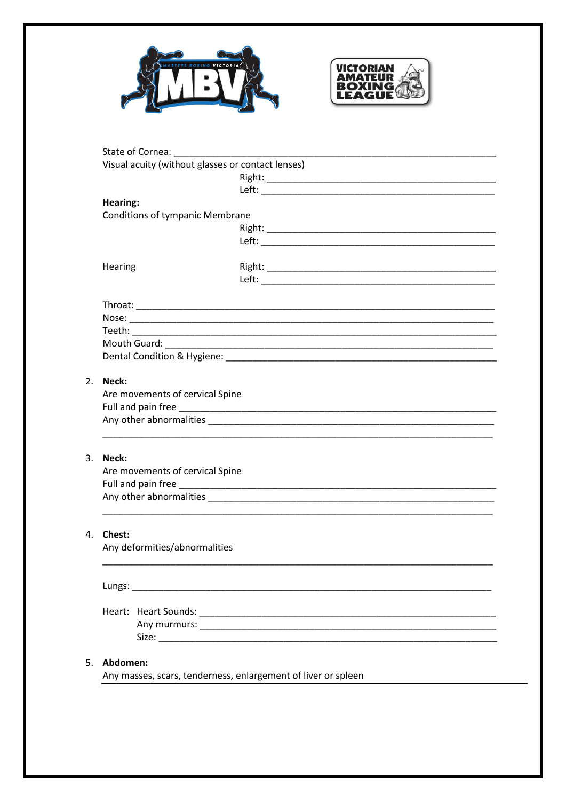



|                     | Visual acuity (without glasses or contact lenses) |  |
|---------------------|---------------------------------------------------|--|
|                     |                                                   |  |
|                     |                                                   |  |
| <b>Hearing:</b>     |                                                   |  |
|                     | <b>Conditions of tympanic Membrane</b>            |  |
|                     |                                                   |  |
|                     |                                                   |  |
| Hearing             |                                                   |  |
|                     |                                                   |  |
|                     |                                                   |  |
|                     |                                                   |  |
|                     |                                                   |  |
|                     |                                                   |  |
|                     |                                                   |  |
| 2.<br>Neck:         |                                                   |  |
|                     | Are movements of cervical Spine                   |  |
|                     |                                                   |  |
|                     |                                                   |  |
|                     |                                                   |  |
| 3. Neck:            |                                                   |  |
|                     | Are movements of cervical Spine                   |  |
|                     |                                                   |  |
|                     |                                                   |  |
|                     |                                                   |  |
| 4.<br><b>Chest:</b> |                                                   |  |
|                     | Any deformities/abnormalities                     |  |
|                     | Lungs: _________                                  |  |
|                     |                                                   |  |
|                     |                                                   |  |
|                     |                                                   |  |
|                     |                                                   |  |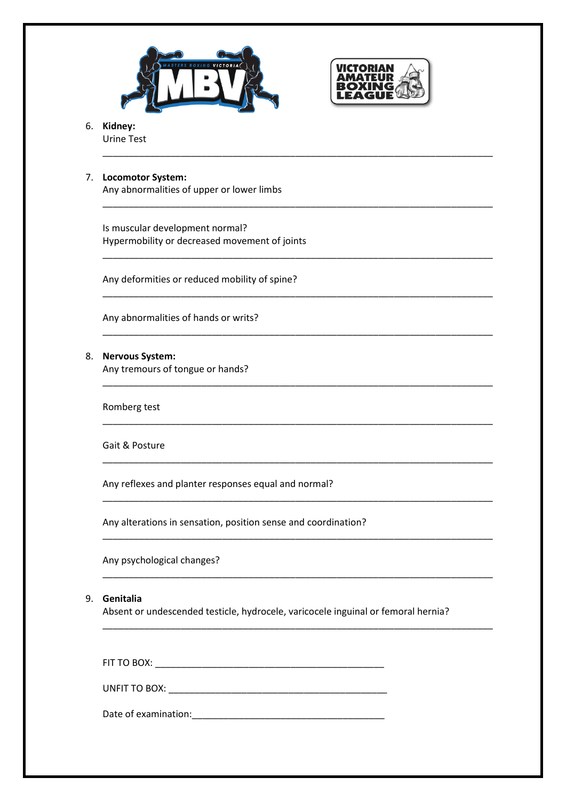



\_\_\_\_\_\_\_\_\_\_\_\_\_\_\_\_\_\_\_\_\_\_\_\_\_\_\_\_\_\_\_\_\_\_\_\_\_\_\_\_\_\_\_\_\_\_\_\_\_\_\_\_\_\_\_\_\_\_\_\_\_\_\_\_\_\_\_\_\_\_\_\_\_\_\_

\_\_\_\_\_\_\_\_\_\_\_\_\_\_\_\_\_\_\_\_\_\_\_\_\_\_\_\_\_\_\_\_\_\_\_\_\_\_\_\_\_\_\_\_\_\_\_\_\_\_\_\_\_\_\_\_\_\_\_\_\_\_\_\_\_\_\_\_\_\_\_\_\_\_\_

\_\_\_\_\_\_\_\_\_\_\_\_\_\_\_\_\_\_\_\_\_\_\_\_\_\_\_\_\_\_\_\_\_\_\_\_\_\_\_\_\_\_\_\_\_\_\_\_\_\_\_\_\_\_\_\_\_\_\_\_\_\_\_\_\_\_\_\_\_\_\_\_\_\_\_

\_\_\_\_\_\_\_\_\_\_\_\_\_\_\_\_\_\_\_\_\_\_\_\_\_\_\_\_\_\_\_\_\_\_\_\_\_\_\_\_\_\_\_\_\_\_\_\_\_\_\_\_\_\_\_\_\_\_\_\_\_\_\_\_\_\_\_\_\_\_\_\_\_\_\_

\_\_\_\_\_\_\_\_\_\_\_\_\_\_\_\_\_\_\_\_\_\_\_\_\_\_\_\_\_\_\_\_\_\_\_\_\_\_\_\_\_\_\_\_\_\_\_\_\_\_\_\_\_\_\_\_\_\_\_\_\_\_\_\_\_\_\_\_\_\_\_\_\_\_\_

\_\_\_\_\_\_\_\_\_\_\_\_\_\_\_\_\_\_\_\_\_\_\_\_\_\_\_\_\_\_\_\_\_\_\_\_\_\_\_\_\_\_\_\_\_\_\_\_\_\_\_\_\_\_\_\_\_\_\_\_\_\_\_\_\_\_\_\_\_\_\_\_\_\_\_

\_\_\_\_\_\_\_\_\_\_\_\_\_\_\_\_\_\_\_\_\_\_\_\_\_\_\_\_\_\_\_\_\_\_\_\_\_\_\_\_\_\_\_\_\_\_\_\_\_\_\_\_\_\_\_\_\_\_\_\_\_\_\_\_\_\_\_\_\_\_\_\_\_\_\_

\_\_\_\_\_\_\_\_\_\_\_\_\_\_\_\_\_\_\_\_\_\_\_\_\_\_\_\_\_\_\_\_\_\_\_\_\_\_\_\_\_\_\_\_\_\_\_\_\_\_\_\_\_\_\_\_\_\_\_\_\_\_\_\_\_\_\_\_\_\_\_\_\_\_\_

\_\_\_\_\_\_\_\_\_\_\_\_\_\_\_\_\_\_\_\_\_\_\_\_\_\_\_\_\_\_\_\_\_\_\_\_\_\_\_\_\_\_\_\_\_\_\_\_\_\_\_\_\_\_\_\_\_\_\_\_\_\_\_\_\_\_\_\_\_\_\_\_\_\_\_

\_\_\_\_\_\_\_\_\_\_\_\_\_\_\_\_\_\_\_\_\_\_\_\_\_\_\_\_\_\_\_\_\_\_\_\_\_\_\_\_\_\_\_\_\_\_\_\_\_\_\_\_\_\_\_\_\_\_\_\_\_\_\_\_\_\_\_\_\_\_\_\_\_\_\_

\_\_\_\_\_\_\_\_\_\_\_\_\_\_\_\_\_\_\_\_\_\_\_\_\_\_\_\_\_\_\_\_\_\_\_\_\_\_\_\_\_\_\_\_\_\_\_\_\_\_\_\_\_\_\_\_\_\_\_\_\_\_\_\_\_\_\_\_\_\_\_\_\_\_\_

\_\_\_\_\_\_\_\_\_\_\_\_\_\_\_\_\_\_\_\_\_\_\_\_\_\_\_\_\_\_\_\_\_\_\_\_\_\_\_\_\_\_\_\_\_\_\_\_\_\_\_\_\_\_\_\_\_\_\_\_\_\_\_\_\_\_\_\_\_\_\_\_\_\_\_

6. **Kidney:** Urine Test

### 7. **Locomotor System:**

Any abnormalities of upper or lower limbs

Is muscular development normal? Hypermobility or decreased movement of joints

Any deformities or reduced mobility of spine?

Any abnormalities of hands or writs?

#### 8. **Nervous System:**

Any tremours of tongue or hands?

Romberg test

Gait & Posture

Any reflexes and planter responses equal and normal?

Any alterations in sensation, position sense and coordination?

Any psychological changes?

#### 9. **Genitalia**

Absent or undescended testicle, hydrocele, varicocele inguinal or femoral hernia?

FIT TO BOX: **EXECUTE:**  $\blacksquare$ 

UNFIT TO BOX: \_\_\_\_\_\_\_\_\_\_\_\_\_\_\_\_\_\_\_\_\_\_\_\_\_\_\_\_\_\_\_\_\_\_\_\_\_\_\_\_\_\_

Date of examination: